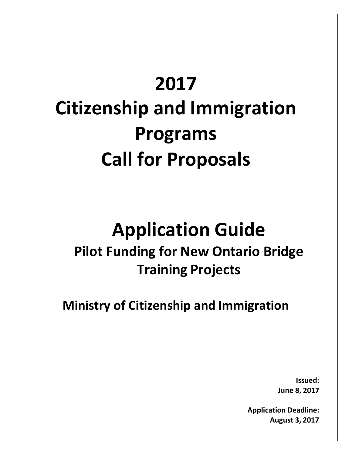### **2017**

## **Citizenship and Immigration Programs Call for Proposals**

# **Application Guide**

### **Pilot Funding for New Ontario Bridge Training Projects**

**Ministry of Citizenship and Immigration**

**Issued: June 8, 2017**

**Application Deadline: August 3, 2017**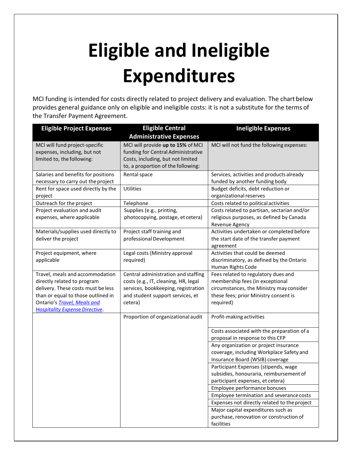### **Eligible and Ineligible Expenditures**

MCI funding is intended for costs directly related to project delivery and evaluation. The chart below provides general guidance only on eligible and ineligible costs: it is not a substitute for the terms of the Transfer Payment Agreement.

| <b>Eligible Project Expenses</b>                                                                                                                                                                                   | <b>Eligible Central</b>                                                                                                                                           | <b>Ineligible Expenses</b>                                                                                                                                               |
|--------------------------------------------------------------------------------------------------------------------------------------------------------------------------------------------------------------------|-------------------------------------------------------------------------------------------------------------------------------------------------------------------|--------------------------------------------------------------------------------------------------------------------------------------------------------------------------|
|                                                                                                                                                                                                                    | <b>Administrative Expenses</b>                                                                                                                                    |                                                                                                                                                                          |
| MCI will fund project-specific<br>expenses, including, but not<br>limited to, the following:                                                                                                                       | MCI will provide up to 15% of MCI<br>funding for Central Administrative<br>Costs, including, but not limited<br>to, a proportion of the following:                | MCI will not fund the following expenses:                                                                                                                                |
| Salaries and benefits for positions<br>necessary to carry out the project                                                                                                                                          | Rental space                                                                                                                                                      | Services, activities and products already<br>funded by another funding body                                                                                              |
| Rent for space used directly by the<br>project                                                                                                                                                                     | Utilities                                                                                                                                                         | Budget deficits, debt reduction or<br>organizational reserves                                                                                                            |
| Outreach for the project                                                                                                                                                                                           | Telephone                                                                                                                                                         | Costs related to political activities                                                                                                                                    |
| Project evaluation and audit<br>expenses, where applicable                                                                                                                                                         | Supplies (e.g., printing,<br>photocopying, postage, et cetera)                                                                                                    | Costs related to partisan, sectarian and/or<br>religious purposes, as defined by Canada<br>Revenue Agency                                                                |
| Materials/supplies used directly to<br>deliver the project                                                                                                                                                         | Project staff training and<br>professional Development                                                                                                            | Activities undertaken or completed before<br>the start date of the transfer payment<br>agreement                                                                         |
| Project equipment, where<br>applicable                                                                                                                                                                             | Legal costs (Ministry approval<br>required)                                                                                                                       | Activities that could be deemed<br>discriminatory, as defined by the Ontario<br>Human Rights Code                                                                        |
| Travel, meals and accommodation<br>directly related to program<br>delivery. These costs must be less<br>than or equal to those outlined in<br>Ontario's Travel, Meals and<br><b>Hospitality Expense Directive.</b> | Central administration and staffing<br>costs (e.g., IT, cleaning, HR, legal<br>services, bookkeeping, registration<br>and student support services, et<br>cetera) | Fees related to regulatory dues and<br>membership fees (in exceptional<br>circumstances, the Ministry may consider<br>these fees; prior Ministry consent is<br>required) |
|                                                                                                                                                                                                                    | Proportion of organizational audit                                                                                                                                | Profit-making activities                                                                                                                                                 |
|                                                                                                                                                                                                                    |                                                                                                                                                                   | Costs associated with the preparation of a<br>proposal in response to this CFP                                                                                           |
|                                                                                                                                                                                                                    |                                                                                                                                                                   | Any organization or project insurance<br>coverage, including Workplace Safety and<br>Insurance Board (WSIB) coverage                                                     |
|                                                                                                                                                                                                                    |                                                                                                                                                                   | Participant Expenses (stipends, wage<br>subsidies, honouraria, reimbursement of<br>participant expenses, et cetera)                                                      |
|                                                                                                                                                                                                                    |                                                                                                                                                                   | Employee performance bonuses                                                                                                                                             |
|                                                                                                                                                                                                                    |                                                                                                                                                                   | Employee termination and severance costs                                                                                                                                 |
|                                                                                                                                                                                                                    |                                                                                                                                                                   | Expenses not directly related to the project                                                                                                                             |
|                                                                                                                                                                                                                    |                                                                                                                                                                   | Major capital expenditures such as<br>purchase, renovation or construction of                                                                                            |
|                                                                                                                                                                                                                    |                                                                                                                                                                   | facilities                                                                                                                                                               |
|                                                                                                                                                                                                                    |                                                                                                                                                                   |                                                                                                                                                                          |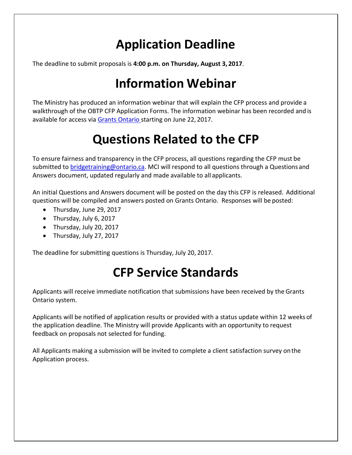#### **Application Deadline**

The deadline to submit proposals is **4:00 p.m. on Thursday, August 3, 2017**.

### **Information Webinar**

The Ministry has produced an information webinar that will explain the CFP process and provide a walkthrough of the OBTP CFP Application Forms. The information webinar has been recorded and is available for access via [Grants Ontario s](http://www.grants.gov.on.ca/GrantsPortal/en/OntarioGrants/GrantOpportunities/OSAPQA005147.html)tarting on June 22, 2017.

#### **Questions Related to the CFP**

To ensure fairness and transparency in the CFP process, all questions regarding the CFP must be submitted to **bridgetraining@ontario.ca**. MCI will respond to all questions through a Questions and Answers document, updated regularly and made available to all applicants.

An initial Questions and Answers document will be posted on the day this CFP is released. Additional questions will be compiled and answers posted on Grants Ontario. Responses will be posted:

- Thursday, June 29, 2017
- Thursday, July 6, 2017
- Thursday, July 20, 2017
- Thursday, July 27, 2017

The deadline for submitting questions is Thursday, July 20, 2017.

### **CFP Service Standards**

Applicants will receive immediate notification that submissions have been received by the Grants Ontario system.

Applicants will be notified of application results or provided with a status update within 12 weeks of the application deadline. The Ministry will provide Applicants with an opportunity to request feedback on proposals not selected for funding.

All Applicants making a submission will be invited to complete a client satisfaction survey on the Application process.